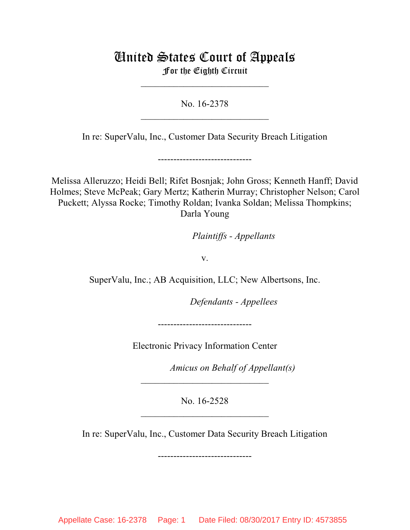# United States Court of Appeals For the Eighth Circuit

\_\_\_\_\_\_\_\_\_\_\_\_\_\_\_\_\_\_\_\_\_\_\_\_\_\_\_

No. 16-2378  $\mathcal{L}_\text{max}$  , which is a set of the set of the set of the set of the set of the set of the set of the set of the set of the set of the set of the set of the set of the set of the set of the set of the set of the set of

In re: SuperValu, Inc., Customer Data Security Breach Litigation

------------------------------

Melissa Alleruzzo; Heidi Bell; Rifet Bosnjak; John Gross; Kenneth Hanff; David Holmes; Steve McPeak; Gary Mertz; Katherin Murray; Christopher Nelson; Carol Puckett; Alyssa Rocke; Timothy Roldan; Ivanka Soldan; Melissa Thompkins; Darla Young

*Plaintiffs - Appellants* 

v.

SuperValu, Inc.; AB Acquisition, LLC; New Albertsons, Inc.

**Defendants - Appellees** 

------------------------------

Electronic Privacy Information Center

Amicus on Behalf of Appellant(s)

No. 16-2528 \_\_\_\_\_\_\_\_\_\_\_\_\_\_\_\_\_\_\_\_\_\_\_\_\_\_\_

 $\mathcal{L}_\text{max}$  , which is a set of the set of the set of the set of the set of the set of the set of the set of the set of the set of the set of the set of the set of the set of the set of the set of the set of the set of

In re: SuperValu, Inc., Customer Data Security Breach Litigation

------------------------------

Appellate Case: 16-2378 Page: 1 Date Filed: 08/30/2017 Entry ID: 4573855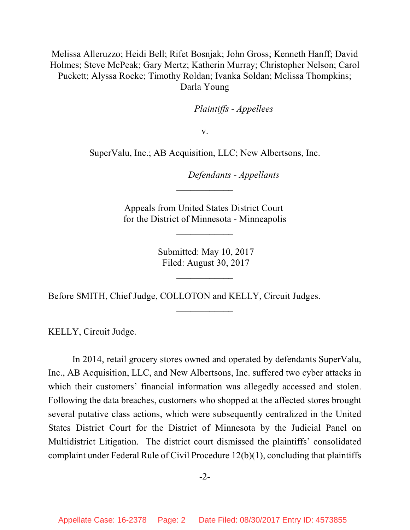Melissa Alleruzzo; Heidi Bell; Rifet Bosnjak; John Gross; Kenneth Hanff; David Holmes; Steve McPeak; Gary Mertz; Katherin Murray; Christopher Nelson; Carol Puckett; Alyssa Rocke; Timothy Roldan; Ivanka Soldan; Melissa Thompkins; Darla Young

*Plaintiffs - Appellees* 

v.

SuperValu, Inc.; AB Acquisition, LLC; New Albertsons, Inc.

lllllllllllllllllllll *Defendants - Appellants*

Appeals from United States District Court for the District of Minnesota - Minneapolis

\_\_\_\_\_\_\_\_\_\_\_\_

 $\frac{1}{2}$ 

 Submitted: May 10, 2017 Filed: August 30, 2017

 $\frac{1}{2}$ 

\_\_\_\_\_\_\_\_\_\_\_\_

Before SMITH, Chief Judge, COLLOTON and KELLY, Circuit Judges.

KELLY, Circuit Judge.

In 2014, retail grocery stores owned and operated by defendants SuperValu, Inc., AB Acquisition, LLC, and New Albertsons, Inc. suffered two cyber attacks in which their customers' financial information was allegedly accessed and stolen. Following the data breaches, customers who shopped at the affected stores brought several putative class actions, which were subsequently centralized in the United States District Court for the District of Minnesota by the Judicial Panel on Multidistrict Litigation. The district court dismissed the plaintiffs' consolidated complaint under Federal Rule of Civil Procedure 12(b)(1), concluding that plaintiffs

-2-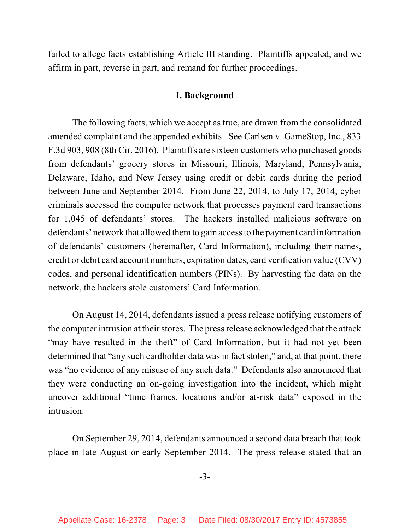failed to allege facts establishing Article III standing. Plaintiffs appealed, and we affirm in part, reverse in part, and remand for further proceedings.

#### **I. Background**

The following facts, which we accept as true, are drawn from the consolidated amended complaint and the appended exhibits. See Carlsen v. GameStop, Inc., 833 F.3d 903, 908 (8th Cir. 2016). Plaintiffs are sixteen customers who purchased goods from defendants' grocery stores in Missouri, Illinois, Maryland, Pennsylvania, Delaware, Idaho, and New Jersey using credit or debit cards during the period between June and September 2014. From June 22, 2014, to July 17, 2014, cyber criminals accessed the computer network that processes payment card transactions for 1,045 of defendants' stores. The hackers installed malicious software on defendants' network that allowed themto gain accessto the payment card information of defendants' customers (hereinafter, Card Information), including their names, credit or debit card account numbers, expiration dates, card verification value (CVV) codes, and personal identification numbers (PINs). By harvesting the data on the network, the hackers stole customers' Card Information.

On August 14, 2014, defendants issued a press release notifying customers of the computer intrusion at their stores. The press release acknowledged that the attack "may have resulted in the theft" of Card Information, but it had not yet been determined that "any such cardholder data was in fact stolen," and, at that point, there was "no evidence of any misuse of any such data." Defendants also announced that they were conducting an on-going investigation into the incident, which might uncover additional "time frames, locations and/or at-risk data" exposed in the intrusion.

On September 29, 2014, defendants announced a second data breach that took place in late August or early September 2014. The press release stated that an

-3-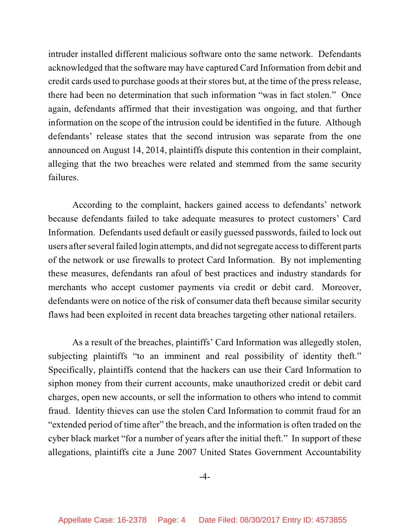intruder installed different malicious software onto the same network. Defendants acknowledged that the software may have captured Card Information from debit and credit cards used to purchase goods at their stores but, at the time of the press release, there had been no determination that such information "was in fact stolen." Once again, defendants affirmed that their investigation was ongoing, and that further information on the scope of the intrusion could be identified in the future. Although defendants' release states that the second intrusion was separate from the one announced on August 14, 2014, plaintiffs dispute this contention in their complaint, alleging that the two breaches were related and stemmed from the same security failures.

According to the complaint, hackers gained access to defendants' network because defendants failed to take adequate measures to protect customers' Card Information. Defendants used default or easily guessed passwords, failed to lock out users after several failed login attempts, and did not segregate access to different parts of the network or use firewalls to protect Card Information. By not implementing these measures, defendants ran afoul of best practices and industry standards for merchants who accept customer payments via credit or debit card. Moreover, defendants were on notice of the risk of consumer data theft because similar security flaws had been exploited in recent data breaches targeting other national retailers.

As a result of the breaches, plaintiffs' Card Information was allegedly stolen, subjecting plaintiffs "to an imminent and real possibility of identity theft." Specifically, plaintiffs contend that the hackers can use their Card Information to siphon money from their current accounts, make unauthorized credit or debit card charges, open new accounts, or sell the information to others who intend to commit fraud. Identity thieves can use the stolen Card Information to commit fraud for an "extended period of time after" the breach, and the information is often traded on the cyber black market "for a number of years after the initial theft." In support of these allegations, plaintiffs cite a June 2007 United States Government Accountability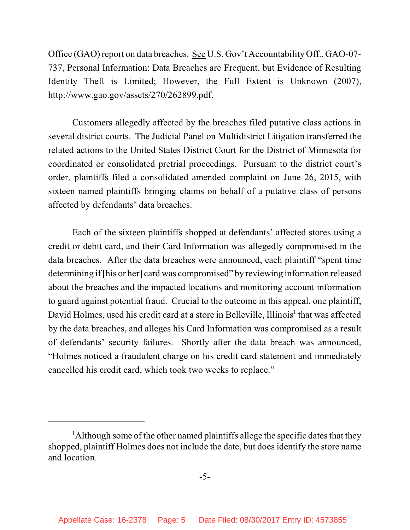Office (GAO)report on data breaches. See U.S. Gov't Accountability Off., GAO-07- 737, Personal Information: Data Breaches are Frequent, but Evidence of Resulting Identity Theft is Limited; However, the Full Extent is Unknown (2007), http://www.gao.gov/assets/270/262899.pdf.

Customers allegedly affected by the breaches filed putative class actions in several district courts. The Judicial Panel on Multidistrict Litigation transferred the related actions to the United States District Court for the District of Minnesota for coordinated or consolidated pretrial proceedings. Pursuant to the district court's order, plaintiffs filed a consolidated amended complaint on June 26, 2015, with sixteen named plaintiffs bringing claims on behalf of a putative class of persons affected by defendants' data breaches.

Each of the sixteen plaintiffs shopped at defendants' affected stores using a credit or debit card, and their Card Information was allegedly compromised in the data breaches. After the data breaches were announced, each plaintiff "spent time determining if [his or her] card was compromised" by reviewing information released about the breaches and the impacted locations and monitoring account information to guard against potential fraud. Crucial to the outcome in this appeal, one plaintiff, David Holmes, used his credit card at a store in Belleville, Illinois<sup>1</sup> that was affected by the data breaches, and alleges his Card Information was compromised as a result of defendants' security failures. Shortly after the data breach was announced, "Holmes noticed a fraudulent charge on his credit card statement and immediately cancelled his credit card, which took two weeks to replace."

<sup>&</sup>lt;sup>1</sup>Although some of the other named plaintiffs allege the specific dates that they shopped, plaintiff Holmes does not include the date, but does identify the store name and location.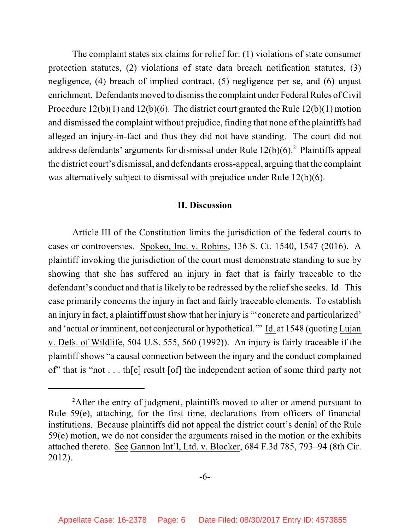The complaint states six claims for relief for: (1) violations of state consumer protection statutes, (2) violations of state data breach notification statutes, (3) negligence, (4) breach of implied contract, (5) negligence per se, and (6) unjust enrichment. Defendants moved to dismiss the complaint under Federal Rules of Civil Procedure 12(b)(1) and 12(b)(6). The district court granted the Rule 12(b)(1) motion and dismissed the complaint without prejudice, finding that none of the plaintiffs had alleged an injury-in-fact and thus they did not have standing. The court did not address defendants' arguments for dismissal under Rule  $12(b)(6)$ .<sup>2</sup> Plaintiffs appeal the district court's dismissal, and defendants cross-appeal, arguing that the complaint was alternatively subject to dismissal with prejudice under Rule 12(b)(6).

#### **II. Discussion**

Article III of the Constitution limits the jurisdiction of the federal courts to cases or controversies. Spokeo, Inc. v. Robins, 136 S. Ct. 1540, 1547 (2016). A plaintiff invoking the jurisdiction of the court must demonstrate standing to sue by showing that she has suffered an injury in fact that is fairly traceable to the defendant's conduct and that is likely to be redressed by the relief she seeks. Id. This case primarily concerns the injury in fact and fairly traceable elements. To establish an injury in fact, a plaintiff must show that her injury is "'concrete and particularized' and 'actual or imminent, not conjectural or hypothetical.'" Id. at 1548 (quoting Lujan v. Defs. of Wildlife, 504 U.S. 555, 560 (1992)). An injury is fairly traceable if the plaintiff shows "a causal connection between the injury and the conduct complained of" that is "not . . . th[e] result [of] the independent action of some third party not

<sup>&</sup>lt;sup>2</sup>After the entry of judgment, plaintiffs moved to alter or amend pursuant to Rule 59(e), attaching, for the first time, declarations from officers of financial institutions. Because plaintiffs did not appeal the district court's denial of the Rule 59(e) motion, we do not consider the arguments raised in the motion or the exhibits attached thereto. See Gannon Int'l, Ltd. v. Blocker, 684 F.3d 785, 793–94 (8th Cir. 2012).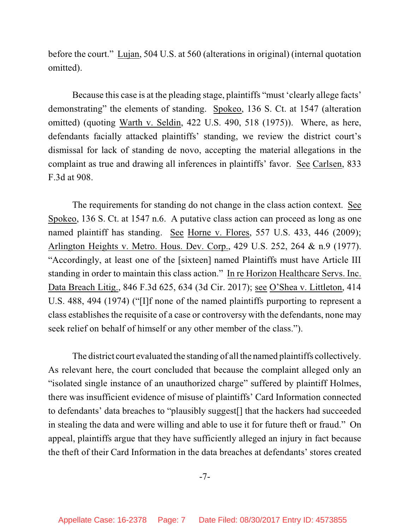before the court." Lujan, 504 U.S. at 560 (alterations in original) (internal quotation omitted).

Because this case is at the pleading stage, plaintiffs "must 'clearly allege facts' demonstrating" the elements of standing. Spokeo, 136 S. Ct. at 1547 (alteration omitted) (quoting Warth v. Seldin, 422 U.S. 490, 518 (1975)). Where, as here, defendants facially attacked plaintiffs' standing, we review the district court's dismissal for lack of standing de novo, accepting the material allegations in the complaint as true and drawing all inferences in plaintiffs' favor. See Carlsen, 833 F.3d at 908.

The requirements for standing do not change in the class action context. See Spokeo, 136 S. Ct. at 1547 n.6. A putative class action can proceed as long as one named plaintiff has standing. See Horne v. Flores, 557 U.S. 433, 446 (2009); Arlington Heights v. Metro. Hous. Dev. Corp., 429 U.S. 252, 264 & n.9 (1977). "Accordingly, at least one of the [sixteen] named Plaintiffs must have Article III standing in order to maintain this class action." In re Horizon Healthcare Servs. Inc. Data Breach Litig., 846 F.3d 625, 634 (3d Cir. 2017); see O'Shea v. Littleton, 414 U.S. 488, 494 (1974) ("[I]f none of the named plaintiffs purporting to represent a class establishes the requisite of a case or controversy with the defendants, none may seek relief on behalf of himself or any other member of the class.").

The district court evaluated the standing of all the named plaintiffs collectively. As relevant here, the court concluded that because the complaint alleged only an "isolated single instance of an unauthorized charge" suffered by plaintiff Holmes, there was insufficient evidence of misuse of plaintiffs' Card Information connected to defendants' data breaches to "plausibly suggest[] that the hackers had succeeded in stealing the data and were willing and able to use it for future theft or fraud." On appeal, plaintiffs argue that they have sufficiently alleged an injury in fact because the theft of their Card Information in the data breaches at defendants' stores created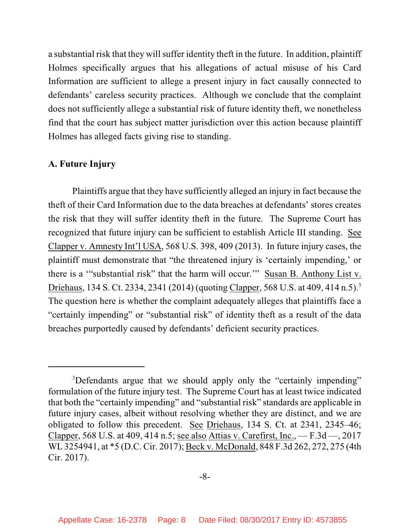a substantial risk that they will suffer identity theft in the future. In addition, plaintiff Holmes specifically argues that his allegations of actual misuse of his Card Information are sufficient to allege a present injury in fact causally connected to defendants' careless security practices. Although we conclude that the complaint does not sufficiently allege a substantial risk of future identity theft, we nonetheless find that the court has subject matter jurisdiction over this action because plaintiff Holmes has alleged facts giving rise to standing.

### **A. Future Injury**

Plaintiffs argue that they have sufficiently alleged an injury in fact because the theft of their Card Information due to the data breaches at defendants' stores creates the risk that they will suffer identity theft in the future. The Supreme Court has recognized that future injury can be sufficient to establish Article III standing. See Clapper v. Amnesty Int'l USA, 568 U.S. 398, 409 (2013). In future injury cases, the plaintiff must demonstrate that "the threatened injury is 'certainly impending,' or there is a '"substantial risk" that the harm will occur.'" Susan B. Anthony List v. Driehaus, 134 S. Ct. 2334, 2341 (2014) (quoting Clapper, 568 U.S. at 409, 414 n.5).<sup>3</sup> The question here is whether the complaint adequately alleges that plaintiffs face a "certainly impending" or "substantial risk" of identity theft as a result of the data breaches purportedly caused by defendants' deficient security practices.

<sup>&</sup>lt;sup>3</sup>Defendants argue that we should apply only the "certainly impending" formulation of the future injury test. The Supreme Court has at least twice indicated that both the "certainly impending" and "substantial risk" standards are applicable in future injury cases, albeit without resolving whether they are distinct, and we are obligated to follow this precedent. See Driehaus, 134 S. Ct. at 2341, 2345–46; Clapper, 568 U.S. at 409, 414 n.5; see also Attias v. Carefirst, Inc., — F.3d —, 2017 WL 3254941, at \*5 (D.C. Cir. 2017); Beck v. McDonald, 848 F.3d 262, 272, 275 (4th Cir. 2017).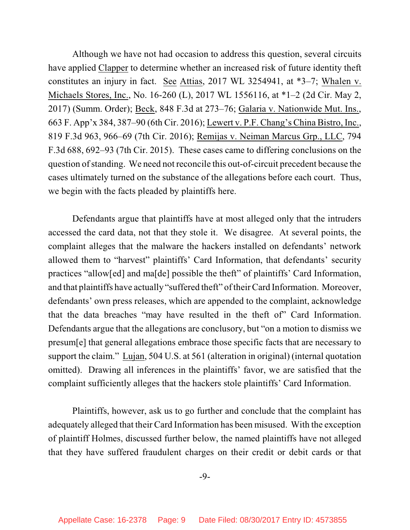Although we have not had occasion to address this question, several circuits have applied Clapper to determine whether an increased risk of future identity theft constitutes an injury in fact. See Attias, 2017 WL 3254941, at \*3–7; Whalen v. Michaels Stores, Inc., No. 16-260 (L), 2017 WL 1556116, at \*1–2 (2d Cir. May 2, 2017) (Summ. Order); Beck, 848 F.3d at 273–76; Galaria v. Nationwide Mut. Ins., 663 F. App'x 384, 387–90 (6th Cir. 2016); Lewert v. P.F. Chang's China Bistro, Inc., 819 F.3d 963, 966–69 (7th Cir. 2016); Remijas v. Neiman Marcus Grp., LLC, 794 F.3d 688, 692–93 (7th Cir. 2015). These cases came to differing conclusions on the question ofstanding. We need not reconcile this out-of-circuit precedent because the cases ultimately turned on the substance of the allegations before each court. Thus, we begin with the facts pleaded by plaintiffs here.

Defendants argue that plaintiffs have at most alleged only that the intruders accessed the card data, not that they stole it. We disagree. At several points, the complaint alleges that the malware the hackers installed on defendants' network allowed them to "harvest" plaintiffs' Card Information, that defendants' security practices "allow[ed] and ma[de] possible the theft" of plaintiffs' Card Information, and that plaintiffs have actually "suffered theft" of their Card Information. Moreover, defendants' own press releases, which are appended to the complaint, acknowledge that the data breaches "may have resulted in the theft of" Card Information. Defendants argue that the allegations are conclusory, but "on a motion to dismiss we presum[e] that general allegations embrace those specific facts that are necessary to support the claim." Lujan, 504 U.S. at 561 (alteration in original) (internal quotation omitted). Drawing all inferences in the plaintiffs' favor, we are satisfied that the complaint sufficiently alleges that the hackers stole plaintiffs' Card Information.

Plaintiffs, however, ask us to go further and conclude that the complaint has adequately alleged that their Card Information has been misused. With the exception of plaintiff Holmes, discussed further below, the named plaintiffs have not alleged that they have suffered fraudulent charges on their credit or debit cards or that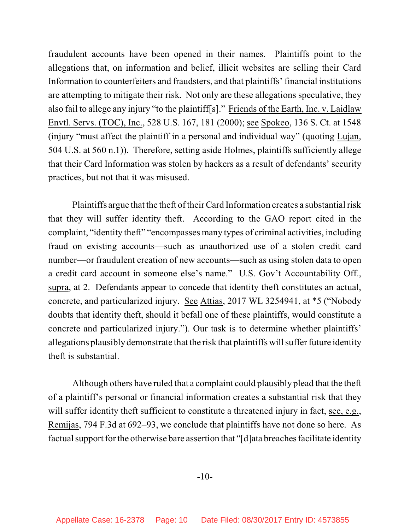fraudulent accounts have been opened in their names. Plaintiffs point to the allegations that, on information and belief, illicit websites are selling their Card Information to counterfeiters and fraudsters, and that plaintiffs' financial institutions are attempting to mitigate their risk. Not only are these allegations speculative, they also fail to allege any injury "to the plaintiff[s]." Friends of the Earth, Inc. v. Laidlaw Envtl. Servs. (TOC), Inc., 528 U.S. 167, 181 (2000); see Spokeo, 136 S. Ct. at 1548 (injury "must affect the plaintiff in a personal and individual way" (quoting Lujan, 504 U.S. at 560 n.1)). Therefore, setting aside Holmes, plaintiffs sufficiently allege that their Card Information was stolen by hackers as a result of defendants' security practices, but not that it was misused.

Plaintiffs argue that the theft of their Card Information creates a substantial risk that they will suffer identity theft. According to the GAO report cited in the complaint, "identity theft" "encompasses many types of criminal activities, including fraud on existing accounts—such as unauthorized use of a stolen credit card number—or fraudulent creation of new accounts—such as using stolen data to open a credit card account in someone else's name." U.S. Gov't Accountability Off., supra, at 2. Defendants appear to concede that identity theft constitutes an actual, concrete, and particularized injury. See Attias, 2017 WL 3254941, at \*5 ("Nobody doubts that identity theft, should it befall one of these plaintiffs, would constitute a concrete and particularized injury."). Our task is to determine whether plaintiffs' allegations plausibly demonstrate that the risk that plaintiffs will suffer future identity theft is substantial.

Although others have ruled that a complaint could plausibly plead that the theft of a plaintiff's personal or financial information creates a substantial risk that they will suffer identity theft sufficient to constitute a threatened injury in fact, see, e.g., Remijas, 794 F.3d at 692–93, we conclude that plaintiffs have not done so here. As factual support for the otherwise bare assertion that "[d]ata breaches facilitate identity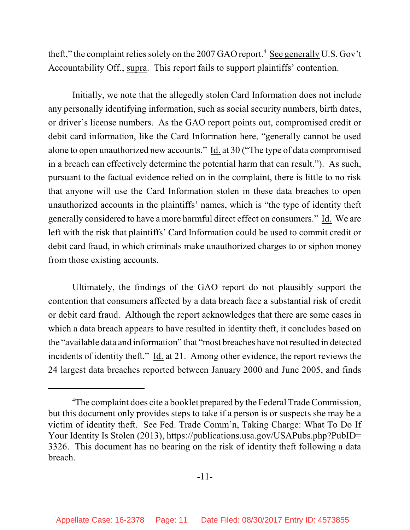theft," the complaint relies solely on the 2007 GAO report.<sup>4</sup> See generally U.S. Gov't Accountability Off., supra. This report fails to support plaintiffs' contention.

Initially, we note that the allegedly stolen Card Information does not include any personally identifying information, such as social security numbers, birth dates, or driver's license numbers. As the GAO report points out, compromised credit or debit card information, like the Card Information here, "generally cannot be used alone to open unauthorized new accounts." Id. at 30 ("The type of data compromised in a breach can effectively determine the potential harm that can result."). As such, pursuant to the factual evidence relied on in the complaint, there is little to no risk that anyone will use the Card Information stolen in these data breaches to open unauthorized accounts in the plaintiffs' names, which is "the type of identity theft generally considered to have a more harmful direct effect on consumers." Id. We are left with the risk that plaintiffs' Card Information could be used to commit credit or debit card fraud, in which criminals make unauthorized charges to or siphon money from those existing accounts.

Ultimately, the findings of the GAO report do not plausibly support the contention that consumers affected by a data breach face a substantial risk of credit or debit card fraud. Although the report acknowledges that there are some cases in which a data breach appears to have resulted in identity theft, it concludes based on the "available data and information" that "most breaches have not resulted in detected incidents of identity theft." Id. at 21. Among other evidence, the report reviews the 24 largest data breaches reported between January 2000 and June 2005, and finds

<sup>&</sup>lt;sup>4</sup>The complaint does cite a booklet prepared by the Federal Trade Commission, but this document only provides steps to take if a person is or suspects she may be a victim of identity theft. See Fed. Trade Comm'n, Taking Charge: What To Do If Your Identity Is Stolen (2013), https://publications.usa.gov/USAPubs.php?PubID= 3326. This document has no bearing on the risk of identity theft following a data breach.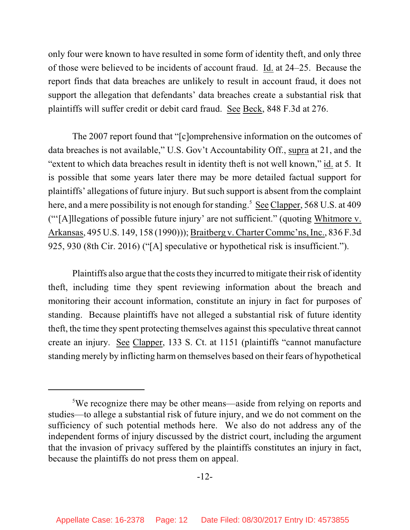only four were known to have resulted in some form of identity theft, and only three of those were believed to be incidents of account fraud. Id. at 24–25. Because the report finds that data breaches are unlikely to result in account fraud, it does not support the allegation that defendants' data breaches create a substantial risk that plaintiffs will suffer credit or debit card fraud. See Beck, 848 F.3d at 276.

The 2007 report found that "[c]omprehensive information on the outcomes of data breaches is not available," U.S. Gov't Accountability Off., supra at 21, and the "extent to which data breaches result in identity theft is not well known," id. at 5. It is possible that some years later there may be more detailed factual support for plaintiffs' allegations of future injury. But such support is absent from the complaint here, and a mere possibility is not enough for standing.<sup>5</sup> See Clapper, 568 U.S. at 409 ("'[A]llegations of possible future injury' are not sufficient." (quoting Whitmore v. Arkansas, 495 U.S. 149, 158 (1990))); Braitberg v. Charter Commc'ns, Inc., 836 F.3d 925, 930 (8th Cir. 2016) ("[A] speculative or hypothetical risk is insufficient.").

Plaintiffs also argue that the costs they incurred to mitigate their risk of identity theft, including time they spent reviewing information about the breach and monitoring their account information, constitute an injury in fact for purposes of standing. Because plaintiffs have not alleged a substantial risk of future identity theft, the time they spent protecting themselves against this speculative threat cannot create an injury. See Clapper, 133 S. Ct. at 1151 (plaintiffs "cannot manufacture standing merely by inflicting harm on themselves based on their fears of hypothetical

<sup>5</sup>We recognize there may be other means—aside from relying on reports and studies—to allege a substantial risk of future injury, and we do not comment on the sufficiency of such potential methods here. We also do not address any of the independent forms of injury discussed by the district court, including the argument that the invasion of privacy suffered by the plaintiffs constitutes an injury in fact, because the plaintiffs do not press them on appeal.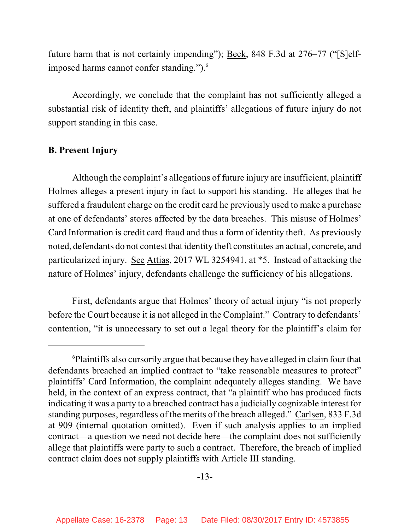future harm that is not certainly impending"); Beck, 848 F.3d at 276–77 ("[S]elfimposed harms cannot confer standing.").<sup>6</sup>

Accordingly, we conclude that the complaint has not sufficiently alleged a substantial risk of identity theft, and plaintiffs' allegations of future injury do not support standing in this case.

## **B. Present Injury**

Although the complaint's allegations of future injury are insufficient, plaintiff Holmes alleges a present injury in fact to support his standing. He alleges that he suffered a fraudulent charge on the credit card he previously used to make a purchase at one of defendants' stores affected by the data breaches. This misuse of Holmes' Card Information is credit card fraud and thus a form of identity theft. As previously noted, defendants do not contest that identity theft constitutes an actual, concrete, and particularized injury. See Attias, 2017 WL 3254941, at \*5. Instead of attacking the nature of Holmes' injury, defendants challenge the sufficiency of his allegations.

First, defendants argue that Holmes' theory of actual injury "is not properly before the Court because it is not alleged in the Complaint." Contrary to defendants' contention, "it is unnecessary to set out a legal theory for the plaintiff's claim for

<sup>6</sup>Plaintiffs also cursorily argue that because they have alleged in claimfour that defendants breached an implied contract to "take reasonable measures to protect" plaintiffs' Card Information, the complaint adequately alleges standing. We have held, in the context of an express contract, that "a plaintiff who has produced facts indicating it was a party to a breached contract has a judicially cognizable interest for standing purposes, regardless of the merits of the breach alleged." Carlsen, 833 F.3d at 909 (internal quotation omitted). Even if such analysis applies to an implied contract—a question we need not decide here—the complaint does not sufficiently allege that plaintiffs were party to such a contract. Therefore, the breach of implied contract claim does not supply plaintiffs with Article III standing.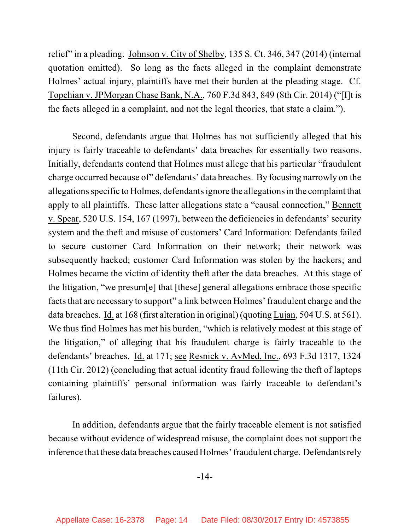relief" in a pleading. Johnson v. City of Shelby, 135 S. Ct. 346, 347 (2014) (internal quotation omitted). So long as the facts alleged in the complaint demonstrate Holmes' actual injury, plaintiffs have met their burden at the pleading stage. Cf. Topchian v. JPMorgan Chase Bank, N.A., 760 F.3d 843, 849 (8th Cir. 2014) ("[I]t is the facts alleged in a complaint, and not the legal theories, that state a claim.").

Second, defendants argue that Holmes has not sufficiently alleged that his injury is fairly traceable to defendants' data breaches for essentially two reasons. Initially, defendants contend that Holmes must allege that his particular "fraudulent charge occurred because of" defendants' data breaches. By focusing narrowly on the allegationsspecific to Holmes, defendants ignore the allegations in the complaint that apply to all plaintiffs. These latter allegations state a "causal connection," Bennett v. Spear, 520 U.S. 154, 167 (1997), between the deficiencies in defendants' security system and the theft and misuse of customers' Card Information: Defendants failed to secure customer Card Information on their network; their network was subsequently hacked; customer Card Information was stolen by the hackers; and Holmes became the victim of identity theft after the data breaches. At this stage of the litigation, "we presum[e] that [these] general allegations embrace those specific facts that are necessary to support" a link between Holmes' fraudulent charge and the data breaches. Id. at 168 (first alteration in original) (quoting Lujan, 504 U.S. at 561). We thus find Holmes has met his burden, "which is relatively modest at this stage of the litigation," of alleging that his fraudulent charge is fairly traceable to the defendants' breaches. Id. at 171; see Resnick v. AvMed, Inc., 693 F.3d 1317, 1324 (11th Cir. 2012) (concluding that actual identity fraud following the theft of laptops containing plaintiffs' personal information was fairly traceable to defendant's failures).

In addition, defendants argue that the fairly traceable element is not satisfied because without evidence of widespread misuse, the complaint does not support the inference that these data breaches caused Holmes' fraudulent charge. Defendants rely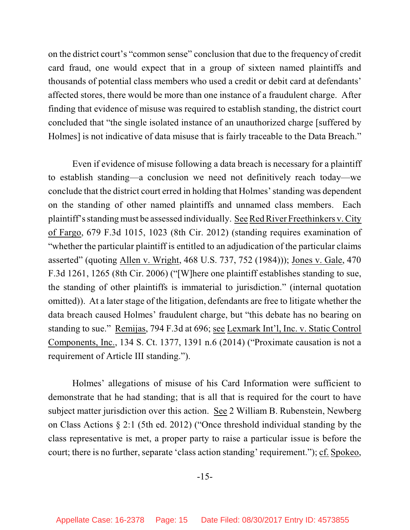on the district court's "common sense" conclusion that due to the frequency of credit card fraud, one would expect that in a group of sixteen named plaintiffs and thousands of potential class members who used a credit or debit card at defendants' affected stores, there would be more than one instance of a fraudulent charge. After finding that evidence of misuse was required to establish standing, the district court concluded that "the single isolated instance of an unauthorized charge [suffered by Holmes] is not indicative of data misuse that is fairly traceable to the Data Breach."

Even if evidence of misuse following a data breach is necessary for a plaintiff to establish standing—a conclusion we need not definitively reach today—we conclude that the district court erred in holding that Holmes' standing was dependent on the standing of other named plaintiffs and unnamed class members. Each plaintiff'sstandingmust be assessed individually. SeeRedRiver Freethinkers v. City of Fargo, 679 F.3d 1015, 1023 (8th Cir. 2012) (standing requires examination of "whether the particular plaintiff is entitled to an adjudication of the particular claims asserted" (quoting Allen v. Wright, 468 U.S. 737, 752 (1984))); Jones v. Gale, 470 F.3d 1261, 1265 (8th Cir. 2006) ("[W]here one plaintiff establishes standing to sue, the standing of other plaintiffs is immaterial to jurisdiction." (internal quotation omitted)). At a later stage of the litigation, defendants are free to litigate whether the data breach caused Holmes' fraudulent charge, but "this debate has no bearing on standing to sue." Remijas, 794 F.3d at 696; see Lexmark Int'l, Inc. v. Static Control Components, Inc., 134 S. Ct. 1377, 1391 n.6 (2014) ("Proximate causation is not a requirement of Article III standing.").

Holmes' allegations of misuse of his Card Information were sufficient to demonstrate that he had standing; that is all that is required for the court to have subject matter jurisdiction over this action. See 2 William B. Rubenstein, Newberg on Class Actions § 2:1 (5th ed. 2012) ("Once threshold individual standing by the class representative is met, a proper party to raise a particular issue is before the court; there is no further, separate 'class action standing' requirement."); cf. Spokeo,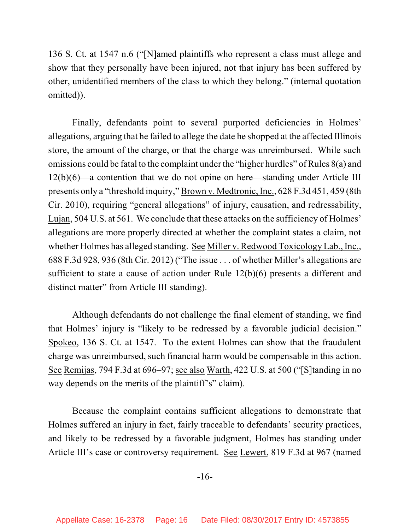136 S. Ct. at 1547 n.6 ("[N]amed plaintiffs who represent a class must allege and show that they personally have been injured, not that injury has been suffered by other, unidentified members of the class to which they belong." (internal quotation omitted)).

Finally, defendants point to several purported deficiencies in Holmes' allegations, arguing that he failed to allege the date he shopped at the affected Illinois store, the amount of the charge, or that the charge was unreimbursed. While such omissions could be fatal to the complaint under the "higher hurdles" of Rules  $8(a)$  and 12(b)(6)—a contention that we do not opine on here—standing under Article III presents only a "threshold inquiry," Brown v. Medtronic, Inc., 628 F.3d 451, 459 (8th Cir. 2010), requiring "general allegations" of injury, causation, and redressability, Lujan, 504 U.S. at 561. We conclude that these attacks on the sufficiency of Holmes' allegations are more properly directed at whether the complaint states a claim, not whether Holmes has alleged standing. See Miller v. Redwood Toxicology Lab., Inc., 688 F.3d 928, 936 (8th Cir. 2012) ("The issue . . . of whether Miller's allegations are sufficient to state a cause of action under Rule 12(b)(6) presents a different and distinct matter" from Article III standing).

Although defendants do not challenge the final element of standing, we find that Holmes' injury is "likely to be redressed by a favorable judicial decision." Spokeo, 136 S. Ct. at 1547. To the extent Holmes can show that the fraudulent charge was unreimbursed, such financial harm would be compensable in this action. See Remijas, 794 F.3d at 696–97; see also Warth, 422 U.S. at 500 ("[S]tanding in no way depends on the merits of the plaintiff's" claim).

Because the complaint contains sufficient allegations to demonstrate that Holmes suffered an injury in fact, fairly traceable to defendants' security practices, and likely to be redressed by a favorable judgment, Holmes has standing under Article III's case or controversy requirement. See Lewert, 819 F.3d at 967 (named